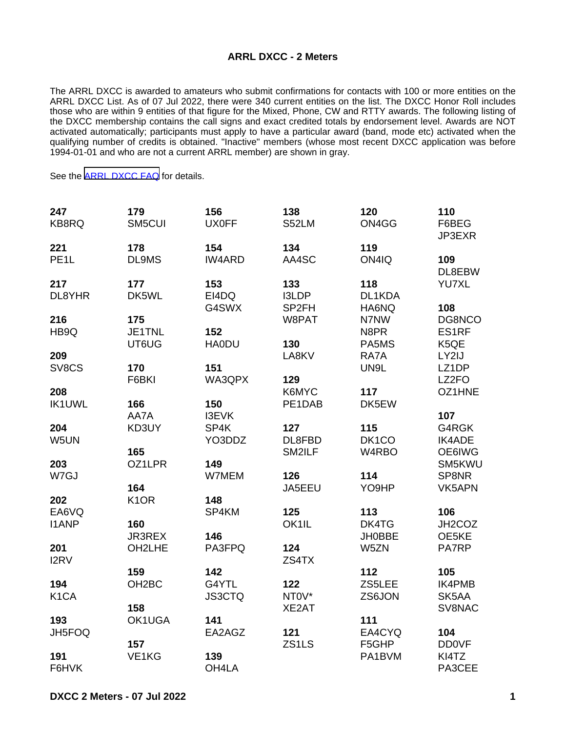## **ARRL DXCC - 2 Meters**

The ARRL DXCC is awarded to amateurs who submit confirmations for contacts with 100 or more entities on the ARRL DXCC List. As of 07 Jul 2022, there were 340 current entities on the list. The DXCC Honor Roll includes those who are within 9 entities of that figure for the Mixed, Phone, CW and RTTY awards. The following listing of the DXCC membership contains the call signs and exact credited totals by endorsement level. Awards are NOT activated automatically; participants must apply to have a particular award (band, mode etc) activated when the qualifying number of credits is obtained. "Inactive" members (whose most recent DXCC application was before 1994-01-01 and who are not a current ARRL member) are shown in gray.

See the [ARRL DXCC FAQ](http://www.arrl.org/dxcc-faq/) for details.

| 247               | 179                | 156           | 138    | 120           | 110             |
|-------------------|--------------------|---------------|--------|---------------|-----------------|
| KB8RQ             | SM5CUI             | <b>UX0FF</b>  | S52LM  | ON4GG         | F6BEG<br>JP3EXR |
| 221               | 178                | 154           | 134    | 119           |                 |
| PE <sub>1</sub> L | DL9MS              | <b>IW4ARD</b> | AA4SC  | ON4IQ         | 109             |
|                   |                    |               |        |               | DL8EBW          |
| 217               | 177                | 153           | 133    | 118           | <b>YU7XL</b>    |
| DL8YHR            | DK5WL              | EI4DQ         | I3LDP  | DL1KDA        |                 |
|                   |                    | G4SWX         | SP2FH  | HA6NQ         | 108             |
| 216               | 175                |               | W8PAT  | N7NW          | DG8NCO          |
| HB9Q              | JE1TNL             | 152           |        | N8PR          | ES1RF           |
|                   | UT6UG              | <b>HA0DU</b>  | 130    | PA5MS         | K5QE            |
| 209               |                    |               | LA8KV  | RA7A          | LY2IJ           |
| SV8CS             | 170                | 151           |        | UN9L          | LZ1DP           |
|                   | F6BKI              | WA3QPX        | 129    |               | LZ2FO           |
| 208               |                    |               | K6MYC  | 117           | OZ1HNE          |
| <b>IK1UWL</b>     | 166                | 150           | PE1DAB | DK5EW         |                 |
|                   | AA7A               | <b>I3EVK</b>  |        |               | 107             |
| 204               | KD3UY              | SP4K          | 127    | 115           | G4RGK           |
| W5UN              |                    | YO3DDZ        | DL8FBD | DK1CO         | <b>IK4ADE</b>   |
|                   | 165                |               | SM2ILF | W4RBO         | OE6IWG          |
| 203               | OZ1LPR             | 149           |        |               | SM5KWU          |
| W7GJ              |                    | W7MEM         | 126    | 114           | SP8NR           |
|                   | 164                |               | JA5EEU | YO9HP         | VK5APN          |
| 202               | K <sub>1</sub> OR  | 148           |        |               |                 |
| EA6VQ             |                    | SP4KM         | 125    | 113           | 106             |
| <b>I1ANP</b>      | 160                |               | OK1IL  | DK4TG         | JH2COZ          |
|                   | <b>JR3REX</b>      | 146           |        | <b>JH0BBE</b> | OE5KE           |
| 201               | OH2LHE             | PA3FPQ        | 124    | W5ZN          | PA7RP           |
| I2RV              |                    |               | ZS4TX  |               |                 |
|                   | 159                | 142           |        | 112           | 105             |
| 194               | OH <sub>2</sub> BC | G4YTL         | 122    | ZS5LEE        | <b>IK4PMB</b>   |
| K <sub>1</sub> CA |                    | <b>JS3CTQ</b> | NTOV*  | ZS6JON        | SK5AA           |
|                   | 158                |               | XE2AT  |               | SV8NAC          |
| 193               | OK1UGA             | 141           |        | 111           |                 |
| JH5FOQ            |                    | EA2AGZ        | 121    | EA4CYQ        | 104             |
|                   | 157                |               | ZS1LS  | F5GHP         | <b>DD0VF</b>    |
| 191               | VE1KG              | 139           |        | PA1BVM        | KI4TZ           |
| F6HVK             |                    | OH4LA         |        |               | PA3CEE          |